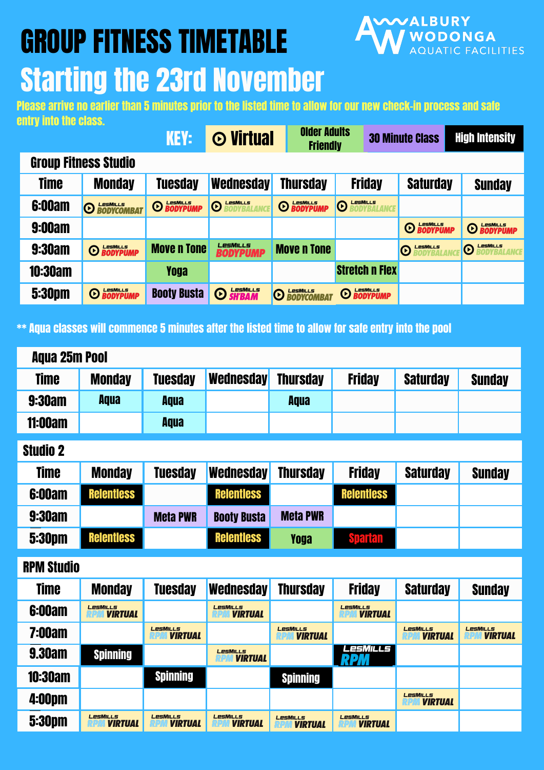Please arrive no earlier than 5 minutes prior to the listed time to allow for our new check-in process and safe entry into the class.

## GROUP FITNESS TIMETABLE



# Starting the 23rd November

| <b>KEY:</b>                 |                                      | <b>O</b> Virtual   | <b>Older Adults</b><br><b>Friendly</b>                     |                                                | <b>30 Minute Class</b>                          | <b>High Intensity</b>  |                        |  |  |  |  |  |  |
|-----------------------------|--------------------------------------|--------------------|------------------------------------------------------------|------------------------------------------------|-------------------------------------------------|------------------------|------------------------|--|--|--|--|--|--|
| <b>Group Fitness Studio</b> |                                      |                    |                                                            |                                                |                                                 |                        |                        |  |  |  |  |  |  |
| <b>Time</b>                 | <b>Monday</b>                        | <b>Tuesday</b>     | Wednesday                                                  | <b>Thursday</b>                                | <b>Friday</b>                                   | <b>Saturday</b>        | <b>Sunday</b>          |  |  |  |  |  |  |
| <b>6:00am</b>               | LesMILLS<br>BODYCOMBAT<br>$\bigcirc$ | <b>O LESMILLS</b>  | <b>LESMILLS</b><br><b>RODVRAL</b><br>$\boldsymbol{\Theta}$ | <b>O BODYPUMP</b>                              | <b>LESMILLS</b><br><b>RODVRAI</b><br>$\bigcirc$ |                        |                        |  |  |  |  |  |  |
| <b>9:00am</b>               |                                      |                    |                                                            |                                                |                                                 | <b>O BODYPUMP</b>      | <b>O BODYPUMP</b>      |  |  |  |  |  |  |
| <b>9:30am</b>               | <b>O BODYPUMP</b>                    | <b>Move n Tone</b> | <b>LesMILLS</b><br><b>BODYPUMP</b>                         | <b>Move n Tone</b>                             |                                                 | LesMills<br>$\bigcirc$ | LesMiLLS<br>$\bigcirc$ |  |  |  |  |  |  |
| <b>10:30am</b>              |                                      | <b>Yoga</b>        |                                                            |                                                | <b>Stretch n Flex</b>                           |                        |                        |  |  |  |  |  |  |
| <b>5:30pm</b>               | <b>O BODYPUMP</b>                    | <b>Booty Busta</b> | <b>O SH'BAM</b>                                            | LesMiLLS<br>BODYCOMBA<br>$\boldsymbol{\Theta}$ | <b>O BODYPUMP</b>                               |                        |                        |  |  |  |  |  |  |

\*\* Aqua classes will commence 5 minutes after the listed time to allow for safe entry into the pool

| <b>Aqua 25m Pool</b> |                                   |                                   |                                   |                                   |                                   |                                   |                                   |  |  |  |  |  |
|----------------------|-----------------------------------|-----------------------------------|-----------------------------------|-----------------------------------|-----------------------------------|-----------------------------------|-----------------------------------|--|--|--|--|--|
| <b>Time</b>          | <b>Monday</b>                     | <b>Tuesday</b>                    | Wednesday                         | <b>Thursday</b>                   | <b>Friday</b>                     | <b>Saturday</b>                   | <b>Sunday</b>                     |  |  |  |  |  |
| <b>9:30am</b>        | <b>Aqua</b>                       | <b>Aqua</b>                       |                                   | <b>Aqua</b>                       |                                   |                                   |                                   |  |  |  |  |  |
| <b>11:00am</b>       |                                   | <b>Aqua</b>                       |                                   |                                   |                                   |                                   |                                   |  |  |  |  |  |
| <b>Studio 2</b>      |                                   |                                   |                                   |                                   |                                   |                                   |                                   |  |  |  |  |  |
| <b>Time</b>          | <b>Monday</b>                     | <b>Tuesday</b>                    | <b>Wednesday</b>                  | <b>Thursday</b>                   | <b>Friday</b>                     | <b>Saturday</b>                   | <b>Sunday</b>                     |  |  |  |  |  |
| <b>6:00am</b>        | Relentless                        |                                   | <b>Relentless</b>                 |                                   | <b>Relentless</b>                 |                                   |                                   |  |  |  |  |  |
| <b>9:30am</b>        |                                   | <b>Meta PWR</b>                   | <b>Booty Busta</b>                | <b>Meta PWR</b>                   |                                   |                                   |                                   |  |  |  |  |  |
| <b>5:30pm</b>        | <b>Relentiess</b>                 |                                   | <b>Relentless</b>                 | <b>Yoga</b>                       | <b>Spartan</b>                    |                                   |                                   |  |  |  |  |  |
| <b>RPM Studio</b>    |                                   |                                   |                                   |                                   |                                   |                                   |                                   |  |  |  |  |  |
| <b>Time</b>          | <b>Monday</b>                     | <b>Tuesday</b>                    | <b>Wednesday</b>                  | <b>Thursday</b>                   | <b>Friday</b>                     | <b>Saturday</b>                   | <b>Sunday</b>                     |  |  |  |  |  |
| <b>6:00am</b>        | <b>LesMILLs</b><br><b>VIRTUAL</b> |                                   | <b>LESMILLS</b><br><b>VIRTUAL</b> |                                   | <b>LESMILLS</b><br><b>VIRTUAL</b> |                                   |                                   |  |  |  |  |  |
| <b>7:00am</b>        |                                   | <b>LESMILLS</b><br><b>VIRTUAL</b> |                                   | <b>LesMILLs</b><br><b>VIRTUAL</b> |                                   | <b>LESMILLS</b><br><b>VIRTUAL</b> | <b>LESMILLS</b><br><b>VIRTUAL</b> |  |  |  |  |  |
| <b>9.30am</b>        | <b>Spinning</b>                   |                                   | <b>LesMILLs</b><br><b>VIRTUAL</b> |                                   | LesMills                          |                                   |                                   |  |  |  |  |  |
| <b>10:30am</b>       |                                   | <b>Spinning</b>                   |                                   | <b>Spinning</b>                   |                                   |                                   |                                   |  |  |  |  |  |
| <b>4:00pm</b>        |                                   |                                   |                                   |                                   |                                   | <b>LesMILLS</b><br><b>VIRTUAL</b> |                                   |  |  |  |  |  |
| <b>5:30pm</b>        | <b>LesMILLs</b><br><b>VIRTUAL</b> | <b>LesMILLs</b><br><b>VIRTUAL</b> | <b>LESMILLS</b><br><b>VIRTUAL</b> | <b>LesMILLS</b><br><b>VIRTUAL</b> | <b>LESMILLS</b><br><b>VIRTUAL</b> |                                   |                                   |  |  |  |  |  |